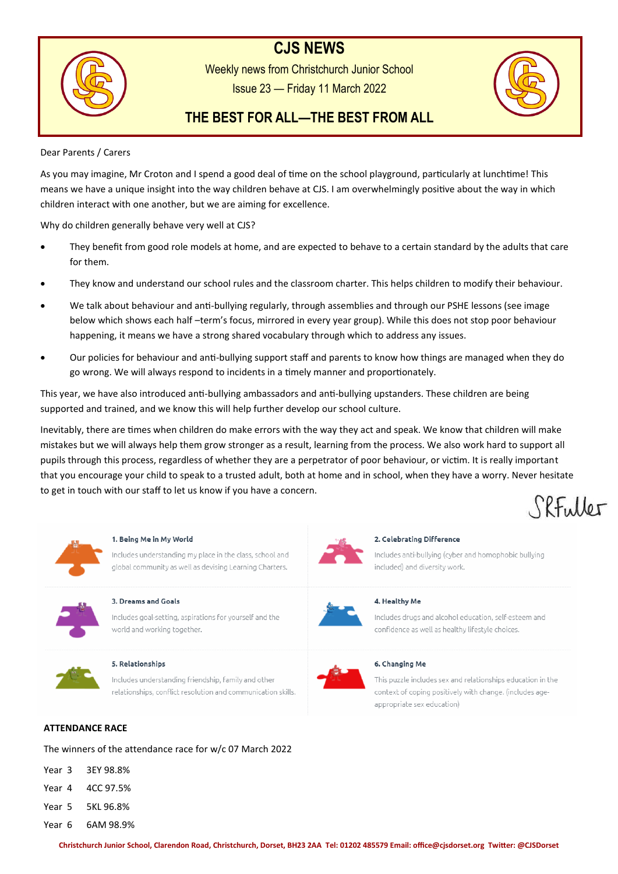# **CJS NEWS**



Weekly news from Christchurch Junior School Issue 23 — Friday 11 March 2022



# **THE BEST FOR ALL—THE BEST FROM ALL**

# Dear Parents / Carers

As you may imagine, Mr Croton and I spend a good deal of time on the school playground, particularly at lunchtime! This means we have a unique insight into the way children behave at CJS. I am overwhelmingly positive about the way in which children interact with one another, but we are aiming for excellence.

Why do children generally behave very well at CJS?

- They benefit from good role models at home, and are expected to behave to a certain standard by the adults that care for them.
- They know and understand our school rules and the classroom charter. This helps children to modify their behaviour.
- We talk about behaviour and anti-bullying regularly, through assemblies and through our PSHE lessons (see image below which shows each half –term's focus, mirrored in every year group). While this does not stop poor behaviour happening, it means we have a strong shared vocabulary through which to address any issues.
- Our policies for behaviour and anti-bullying support staff and parents to know how things are managed when they do go wrong. We will always respond to incidents in a timely manner and proportionately.

This year, we have also introduced anti-bullying ambassadors and anti-bullying upstanders. These children are being supported and trained, and we know this will help further develop our school culture.

Inevitably, there are times when children do make errors with the way they act and speak. We know that children will make mistakes but we will always help them grow stronger as a result, learning from the process. We also work hard to support all pupils through this process, regardless of whether they are a perpetrator of poor behaviour, or victim. It is really important that you encourage your child to speak to a trusted adult, both at home and in school, when they have a worry. Never hesitate to get in touch with our staff to let us know if you have a concern. SRFuller



# 1. Being Me in My World

Includes understanding my place in the class, school and global community as well as devising Learning Charters.



# 3. Dreams and Goals

Includes goal-setting, aspirations for yourself and the world and working together.



#### 5. Relationships

Includes understanding friendship, family and other relationships, conflict resolution and communication skills.

# **ATTENDANCE RACE**

The winners of the attendance race for w/c 07 March 2022

- Year 3 3EY 98.8%
- Year 4 4CC 97.5%
- Year 5 5KL 96.8%
- Year 6 6AM 98.9%



# 2. Celebrating Difference

Includes anti-bullying (cyber and homophobic bullying included) and diversity work.



# 4. Healthy Me

Includes drugs and alcohol education, self-esteem and confidence as well as healthy lifestyle choices.



# 6. Changing Me

This puzzle includes sex and relationships education in the context of coping positively with change. (includes ageappropriate sex education)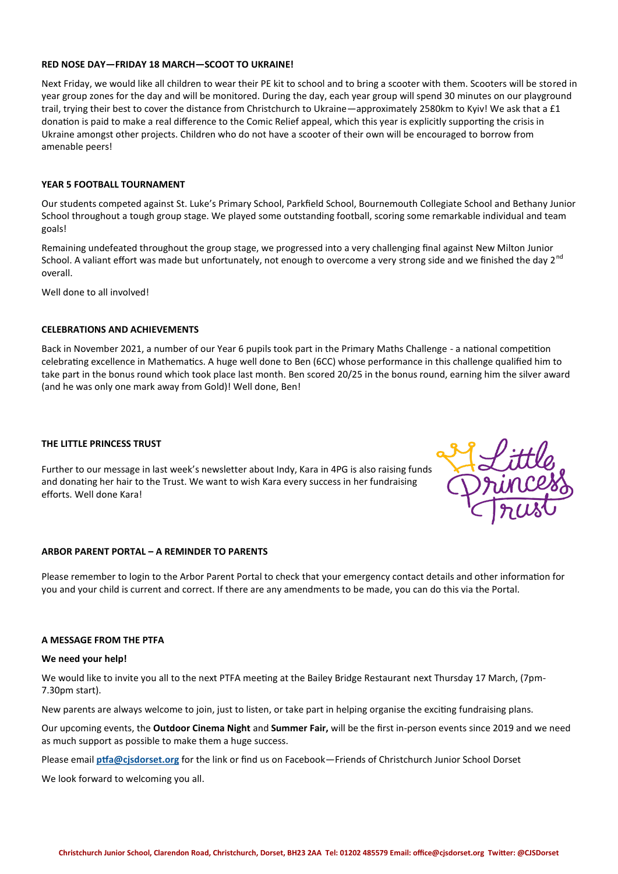#### **RED NOSE DAY—FRIDAY 18 MARCH—SCOOT TO UKRAINE!**

Next Friday, we would like all children to wear their PE kit to school and to bring a scooter with them. Scooters will be stored in year group zones for the day and will be monitored. During the day, each year group will spend 30 minutes on our playground trail, trying their best to cover the distance from Christchurch to Ukraine—approximately 2580km to Kyiv! We ask that a £1 donation is paid to make a real difference to the Comic Relief appeal, which this year is explicitly supporting the crisis in Ukraine amongst other projects. Children who do not have a scooter of their own will be encouraged to borrow from amenable peers!

### **YEAR 5 FOOTBALL TOURNAMENT**

Our students competed against St. Luke's Primary School, Parkfield School, Bournemouth Collegiate School and Bethany Junior School throughout a tough group stage. We played some outstanding football, scoring some remarkable individual and team goals!

Remaining undefeated throughout the group stage, we progressed into a very challenging final against New Milton Junior School. A valiant effort was made but unfortunately, not enough to overcome a very strong side and we finished the day 2<sup>nd</sup> overall.

Well done to all involved!

#### **CELEBRATIONS AND ACHIEVEMENTS**

Back in November 2021, a number of our Year 6 pupils took part in the Primary Maths Challenge - a national competition celebrating excellence in Mathematics. A huge well done to Ben (6CC) whose performance in this challenge qualified him to take part in the bonus round which took place last month. Ben scored 20/25 in the bonus round, earning him the silver award (and he was only one mark away from Gold)! Well done, Ben!

#### **THE LITTLE PRINCESS TRUST**

Further to our message in last week's newsletter about Indy, Kara in 4PG is also raising funds and donating her hair to the Trust. We want to wish Kara every success in her fundraising efforts. Well done Kara!



#### **ARBOR PARENT PORTAL – A REMINDER TO PARENTS**

Please remember to login to the Arbor Parent Portal to check that your emergency contact details and other information for you and your child is current and correct. If there are any amendments to be made, you can do this via the Portal.

#### **A MESSAGE FROM THE PTFA**

#### **We need your help!**

We would like to invite you all to the next PTFA meeting at the Bailey Bridge Restaurant next Thursday 17 March, (7pm-7.30pm start).

New parents are always welcome to join, just to listen, or take part in helping organise the exciting fundraising plans.

Our upcoming events, the **Outdoor Cinema Night** and **Summer Fair,** will be the first in-person events since 2019 and we need as much support as possible to make them a huge success.

Please email **[ptfa@cjsdorset.org](mailto:ptfa@cjsdorset.org)** for the link or find us on Facebook—Friends of Christchurch Junior School Dorset

We look forward to welcoming you all.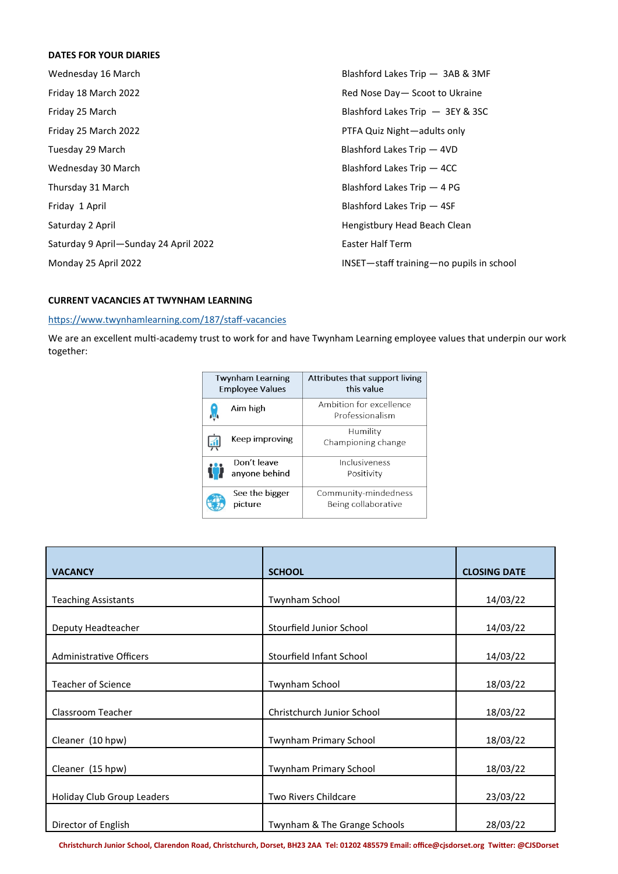# **DATES FOR YOUR DIARIES**

| Wednesday 16 March                    | Blashford Lakes Trip - 3AB & 3MF         |
|---------------------------------------|------------------------------------------|
| Friday 18 March 2022                  | Red Nose Day - Scoot to Ukraine          |
| Friday 25 March                       | Blashford Lakes Trip - 3EY & 3SC         |
| Friday 25 March 2022                  | PTFA Quiz Night-adults only              |
| Tuesday 29 March                      | Blashford Lakes Trip - 4VD               |
| Wednesday 30 March                    | Blashford Lakes Trip - 4CC               |
| Thursday 31 March                     | Blashford Lakes Trip $-4$ PG             |
| Friday 1 April                        | Blashford Lakes Trip - 4SF               |
| Saturday 2 April                      | Hengistbury Head Beach Clean             |
| Saturday 9 April-Sunday 24 April 2022 | Easter Half Term                         |
| Monday 25 April 2022                  | INSET-staff training-no pupils in school |

# **CURRENT VACANCIES AT TWYNHAM LEARNING**

# [https://www.twynhamlearning.com/187/staff](https://www.twynhamlearning.com/187/staff-vacancies)-vacancies

We are an excellent multi-academy trust to work for and have Twynham Learning employee values that underpin our work together:

| <b>Twynham Learning</b><br><b>Employee Values</b> |                              | Attributes that support living<br>this value |  |
|---------------------------------------------------|------------------------------|----------------------------------------------|--|
|                                                   | Aim high                     | Ambition for excellence<br>Professionalism   |  |
|                                                   | Keep improving               | Humility<br>Championing change               |  |
|                                                   | Don't leave<br>anyone behind | Inclusiveness<br>Positivity                  |  |
|                                                   | See the bigger<br>picture    | Community-mindedness<br>Being collaborative  |  |

| <b>VACANCY</b>                 | <b>SCHOOL</b>                 | <b>CLOSING DATE</b> |
|--------------------------------|-------------------------------|---------------------|
|                                |                               |                     |
| <b>Teaching Assistants</b>     | Twynham School                | 14/03/22            |
|                                |                               |                     |
| Deputy Headteacher             | Stourfield Junior School      | 14/03/22            |
|                                |                               |                     |
| <b>Administrative Officers</b> | Stourfield Infant School      | 14/03/22            |
|                                |                               |                     |
| <b>Teacher of Science</b>      | Twynham School                | 18/03/22            |
|                                |                               |                     |
| Classroom Teacher              | Christchurch Junior School    | 18/03/22            |
|                                |                               |                     |
| Cleaner (10 hpw)               | Twynham Primary School        | 18/03/22            |
|                                |                               |                     |
| Cleaner (15 hpw)               | <b>Twynham Primary School</b> | 18/03/22            |
|                                |                               |                     |
| Holiday Club Group Leaders     | Two Rivers Childcare          | 23/03/22            |
|                                |                               |                     |
| Director of English            | Twynham & The Grange Schools  | 28/03/22            |

**Christchurch Junior School, Clarendon Road, Christchurch, Dorset, BH23 2AA Tel: 01202 485579 Email: office@cjsdorset.org Twitter: @CJSDorset**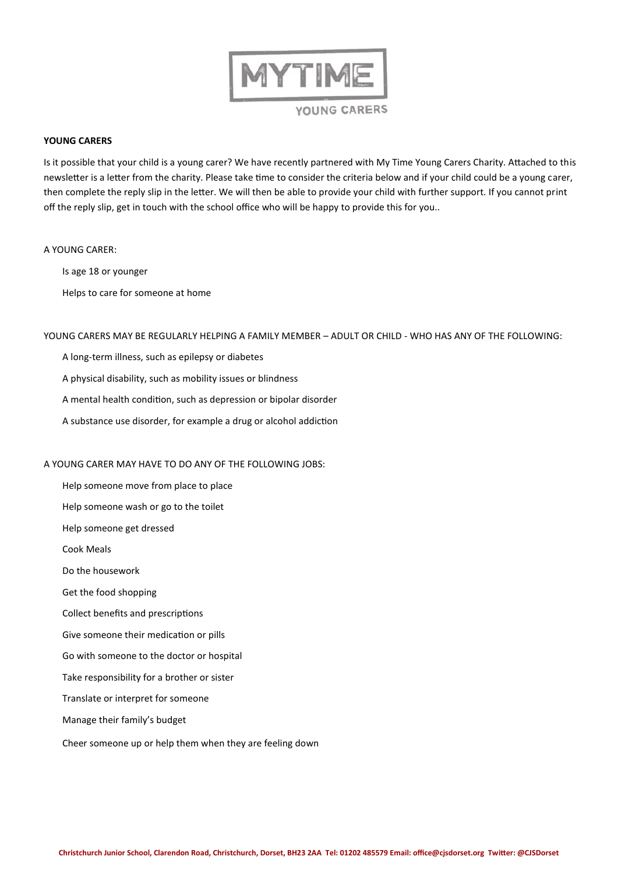

# **YOUNG CARERS**

Is it possible that your child is a young carer? We have recently partnered with My Time Young Carers Charity. Attached to this newsletter is a letter from the charity. Please take time to consider the criteria below and if your child could be a young carer, then complete the reply slip in the letter. We will then be able to provide your child with further support. If you cannot print off the reply slip, get in touch with the school office who will be happy to provide this for you..

#### A YOUNG CARER:

Is age 18 or younger

Helps to care for someone at home

#### YOUNG CARERS MAY BE REGULARLY HELPING A FAMILY MEMBER – ADULT OR CHILD - WHO HAS ANY OF THE FOLLOWING:

- A long-term illness, such as epilepsy or diabetes
- A physical disability, such as mobility issues or blindness
- A mental health condition, such as depression or bipolar disorder
- A substance use disorder, for example a drug or alcohol addiction

# A YOUNG CARER MAY HAVE TO DO ANY OF THE FOLLOWING JOBS:

Help someone move from place to place Help someone wash or go to the toilet Help someone get dressed Cook Meals Do the housework Get the food shopping Collect benefits and prescriptions Give someone their medication or pills Go with someone to the doctor or hospital Take responsibility for a brother or sister Translate or interpret for someone Manage their family's budget

Cheer someone up or help them when they are feeling down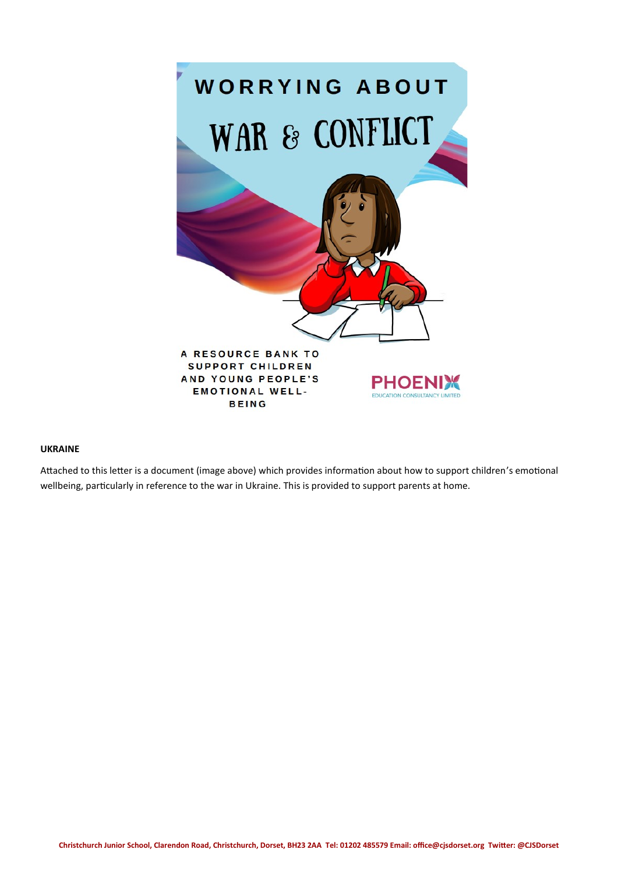

# **UKRAINE**

Attached to this letter is a document (image above) which provides information about how to support children's emotional wellbeing, particularly in reference to the war in Ukraine. This is provided to support parents at home.